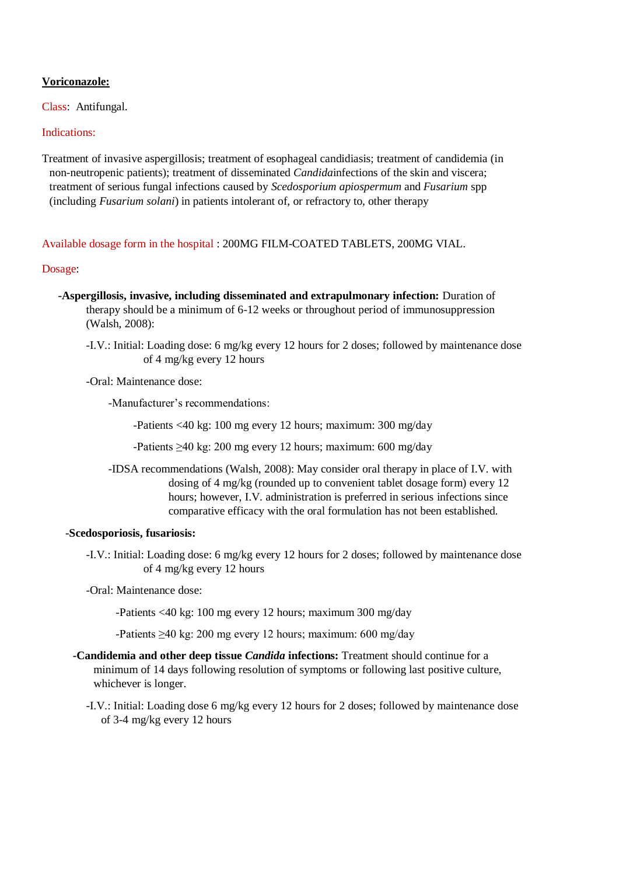## **Voriconazole:**

Class: Antifungal.

## Indications:

Treatment of invasive aspergillosis; treatment of esophageal candidiasis; treatment of candidemia (in non-neutropenic patients); treatment of disseminated *Candida*infections of the skin and viscera; treatment of serious fungal infections caused by *Scedosporium apiospermum* and *Fusarium* spp (including *Fusarium solani*) in patients intolerant of, or refractory to, other therapy

Available dosage form in the hospital : 200MG FILM-COATED TABLETS, 200MG VIAL.

### Dosage:

- **-Aspergillosis, invasive, including disseminated and extrapulmonary infection:** Duration of therapy should be a minimum of 6-12 weeks or throughout period of immunosuppression (Walsh, 2008):
	- -I.V.: Initial: Loading dose: 6 mg/kg every 12 hours for 2 doses; followed by maintenance dose of 4 mg/kg every 12 hours

-Oral: Maintenance dose:

-Manufacturer's recommendations:

-Patients <40 kg: 100 mg every 12 hours; maximum: 300 mg/day

- -Patients ≥40 kg: 200 mg every 12 hours; maximum: 600 mg/day
- -IDSA recommendations (Walsh, 2008): May consider oral therapy in place of I.V. with dosing of 4 mg/kg (rounded up to convenient tablet dosage form) every 12 hours; however, I.V. administration is preferred in serious infections since comparative efficacy with the oral formulation has not been established.

#### **-Scedosporiosis, fusariosis:**

-I.V.: Initial: Loading dose: 6 mg/kg every 12 hours for 2 doses; followed by maintenance dose of 4 mg/kg every 12 hours

-Oral: Maintenance dose:

-Patients <40 kg: 100 mg every 12 hours; maximum 300 mg/day

-Patients ≥40 kg: 200 mg every 12 hours; maximum: 600 mg/day

- **-Candidemia and other deep tissue** *Candida* **infections:** Treatment should continue for a minimum of 14 days following resolution of symptoms or following last positive culture, whichever is longer.
	- -I.V.: Initial: Loading dose 6 mg/kg every 12 hours for 2 doses; followed by maintenance dose of 3-4 mg/kg every 12 hours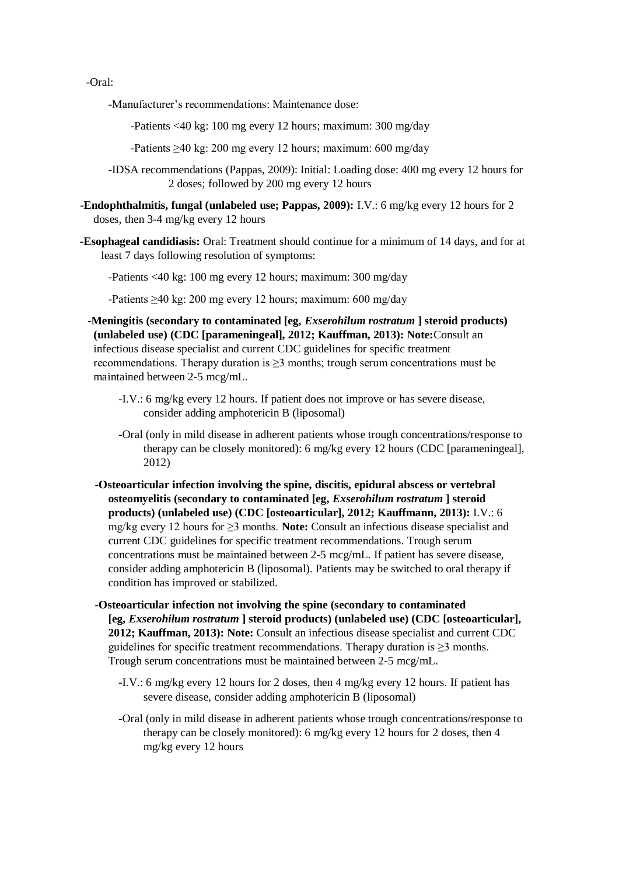-Oral:

-Manufacturer's recommendations: Maintenance dose:

-Patients <40 kg: 100 mg every 12 hours; maximum: 300 mg/day

-Patients ≥40 kg: 200 mg every 12 hours; maximum: 600 mg/day

-IDSA recommendations (Pappas, 2009): Initial: Loading dose: 400 mg every 12 hours for 2 doses; followed by 200 mg every 12 hours

 **-Endophthalmitis, fungal (unlabeled use; Pappas, 2009):** I.V.: 6 mg/kg every 12 hours for 2 doses, then 3-4 mg/kg every 12 hours

 **-Esophageal candidiasis:** Oral: Treatment should continue for a minimum of 14 days, and for at least 7 days following resolution of symptoms:

-Patients <40 kg: 100 mg every 12 hours; maximum: 300 mg/day

-Patients ≥40 kg: 200 mg every 12 hours; maximum: 600 mg/day

 **-Meningitis (secondary to contaminated [eg,** *Exserohilum rostratum* **] steroid products) (unlabeled use) (CDC [parameningeal], 2012; Kauffman, 2013): Note:**Consult an infectious disease specialist and current CDC guidelines for specific treatment recommendations. Therapy duration is  $\geq 3$  months; trough serum concentrations must be maintained between 2-5 mcg/mL.

- -I.V.: 6 mg/kg every 12 hours. If patient does not improve or has severe disease, consider adding amphotericin B (liposomal)
- -Oral (only in mild disease in adherent patients whose trough concentrations/response to therapy can be closely monitored): 6 mg/kg every 12 hours (CDC [parameningeal], 2012)
- **-Osteoarticular infection involving the spine, discitis, epidural abscess or vertebral osteomyelitis (secondary to contaminated [eg,** *Exserohilum rostratum* **] steroid products) (unlabeled use) (CDC [osteoarticular], 2012; Kauffmann, 2013):** I.V.: 6 mg/kg every 12 hours for ≥3 months. **Note:** Consult an infectious disease specialist and current CDC guidelines for specific treatment recommendations. Trough serum concentrations must be maintained between 2-5 mcg/mL. If patient has severe disease, consider adding amphotericin B (liposomal). Patients may be switched to oral therapy if condition has improved or stabilized.

 **-Osteoarticular infection not involving the spine (secondary to contaminated [eg,** *Exserohilum rostratum* **] steroid products) (unlabeled use) (CDC [osteoarticular], 2012; Kauffman, 2013): Note:** Consult an infectious disease specialist and current CDC guidelines for specific treatment recommendations. Therapy duration is ≥3 months. Trough serum concentrations must be maintained between 2-5 mcg/mL.

- -I.V.: 6 mg/kg every 12 hours for 2 doses, then 4 mg/kg every 12 hours. If patient has severe disease, consider adding amphotericin B (liposomal)
- -Oral (only in mild disease in adherent patients whose trough concentrations/response to therapy can be closely monitored): 6 mg/kg every 12 hours for 2 doses, then 4 mg/kg every 12 hours